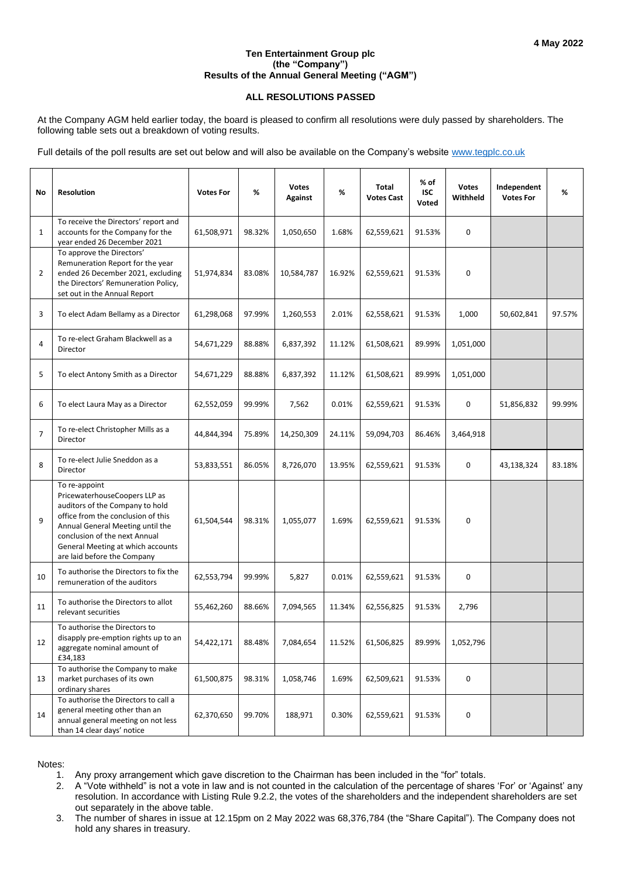## **Ten Entertainment Group plc (the "Company") Results of the Annual General Meeting ("AGM")**

## **ALL RESOLUTIONS PASSED**

At the Company AGM held earlier today, the board is pleased to confirm all resolutions were duly passed by shareholders. The following table sets out a breakdown of voting results.

Full details of the poll results are set out below and will also be available on the Company's website [www.tegplc.co.uk](http://www.tegplc.co.uk/)

| No             | <b>Resolution</b>                                                                                                                                                                                                                                                | <b>Votes For</b> | %      | <b>Votes</b><br><b>Against</b> | %      | <b>Total</b><br><b>Votes Cast</b> | $%$ of<br><b>ISC</b><br>Voted | <b>Votes</b><br>Withheld | Independent<br><b>Votes For</b> | %      |
|----------------|------------------------------------------------------------------------------------------------------------------------------------------------------------------------------------------------------------------------------------------------------------------|------------------|--------|--------------------------------|--------|-----------------------------------|-------------------------------|--------------------------|---------------------------------|--------|
| $\mathbf{1}$   | To receive the Directors' report and<br>accounts for the Company for the<br>year ended 26 December 2021                                                                                                                                                          | 61,508,971       | 98.32% | 1,050,650                      | 1.68%  | 62,559,621                        | 91.53%                        | $\mathbf 0$              |                                 |        |
| 2              | To approve the Directors'<br>Remuneration Report for the year<br>ended 26 December 2021, excluding<br>the Directors' Remuneration Policy,<br>set out in the Annual Report                                                                                        | 51,974,834       | 83.08% | 10,584,787                     | 16.92% | 62,559,621                        | 91.53%                        | $\mathbf 0$              |                                 |        |
| 3              | To elect Adam Bellamy as a Director                                                                                                                                                                                                                              | 61,298,068       | 97.99% | 1,260,553                      | 2.01%  | 62,558,621                        | 91.53%                        | 1,000                    | 50,602,841                      | 97.57% |
| 4              | To re-elect Graham Blackwell as a<br>Director                                                                                                                                                                                                                    | 54,671,229       | 88.88% | 6,837,392                      | 11.12% | 61,508,621                        | 89.99%                        | 1,051,000                |                                 |        |
| 5              | To elect Antony Smith as a Director                                                                                                                                                                                                                              | 54,671,229       | 88.88% | 6,837,392                      | 11.12% | 61,508,621                        | 89.99%                        | 1,051,000                |                                 |        |
| 6              | To elect Laura May as a Director                                                                                                                                                                                                                                 | 62,552,059       | 99.99% | 7,562                          | 0.01%  | 62,559,621                        | 91.53%                        | $\mathbf 0$              | 51,856,832                      | 99.99% |
| $\overline{7}$ | To re-elect Christopher Mills as a<br>Director                                                                                                                                                                                                                   | 44,844,394       | 75.89% | 14,250,309                     | 24.11% | 59,094,703                        | 86.46%                        | 3,464,918                |                                 |        |
| 8              | To re-elect Julie Sneddon as a<br>Director                                                                                                                                                                                                                       | 53,833,551       | 86.05% | 8,726,070                      | 13.95% | 62,559,621                        | 91.53%                        | 0                        | 43,138,324                      | 83.18% |
| 9              | To re-appoint<br>PricewaterhouseCoopers LLP as<br>auditors of the Company to hold<br>office from the conclusion of this<br>Annual General Meeting until the<br>conclusion of the next Annual<br>General Meeting at which accounts<br>are laid before the Company | 61,504,544       | 98.31% | 1,055,077                      | 1.69%  | 62,559,621                        | 91.53%                        | $\mathbf 0$              |                                 |        |
| 10             | To authorise the Directors to fix the<br>remuneration of the auditors                                                                                                                                                                                            | 62,553,794       | 99.99% | 5,827                          | 0.01%  | 62,559,621                        | 91.53%                        | 0                        |                                 |        |
| 11             | To authorise the Directors to allot<br>relevant securities                                                                                                                                                                                                       | 55,462,260       | 88.66% | 7,094,565                      | 11.34% | 62,556,825                        | 91.53%                        | 2,796                    |                                 |        |
| 12             | To authorise the Directors to<br>disapply pre-emption rights up to an<br>aggregate nominal amount of<br>£34,183                                                                                                                                                  | 54,422,171       | 88.48% | 7,084,654                      | 11.52% | 61,506,825                        | 89.99%                        | 1,052,796                |                                 |        |
| 13             | To authorise the Company to make<br>market purchases of its own<br>ordinary shares                                                                                                                                                                               | 61,500,875       | 98.31% | 1,058,746                      | 1.69%  | 62,509,621                        | 91.53%                        | 0                        |                                 |        |
| 14             | To authorise the Directors to call a<br>general meeting other than an<br>annual general meeting on not less<br>than 14 clear days' notice                                                                                                                        | 62,370,650       | 99.70% | 188,971                        | 0.30%  | 62,559,621                        | 91.53%                        | 0                        |                                 |        |

Notes:

1. Any proxy arrangement which gave discretion to the Chairman has been included in the "for" totals.

2. A "Vote withheld" is not a vote in law and is not counted in the calculation of the percentage of shares 'For' or 'Against' any resolution. In accordance with Listing Rule 9.2.2, the votes of the shareholders and the independent shareholders are set out separately in the above table.

3. The number of shares in issue at 12.15pm on 2 May 2022 was 68,376,784 (the "Share Capital"). The Company does not hold any shares in treasury.